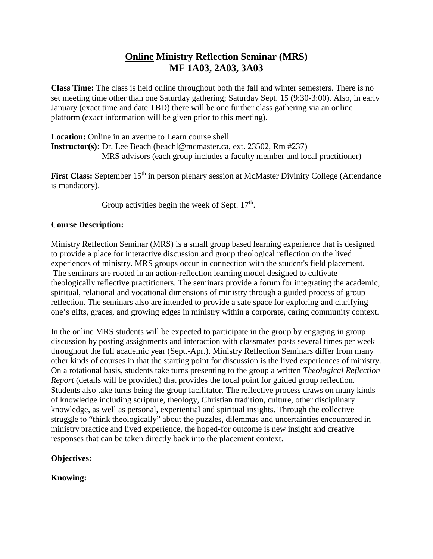# **Online Ministry Reflection Seminar (MRS) MF 1A03, 2A03, 3A03**

**Class Time:** The class is held online throughout both the fall and winter semesters. There is no set meeting time other than one Saturday gathering; Saturday Sept. 15 (9:30-3:00). Also, in early January (exact time and date TBD) there will be one further class gathering via an online platform (exact information will be given prior to this meeting).

**Location:** Online in an avenue to Learn course shell **Instructor(s):** Dr. Lee Beach (beachl@mcmaster.ca, ext. 23502, Rm #237) MRS advisors (each group includes a faculty member and local practitioner)

**First Class:** September 15<sup>th</sup> in person plenary session at McMaster Divinity College (Attendance is mandatory).

Group activities begin the week of Sept.  $17<sup>th</sup>$ .

## **Course Description:**

Ministry Reflection Seminar (MRS) is a small group based learning experience that is designed to provide a place for interactive discussion and group theological reflection on the lived experiences of ministry. MRS groups occur in connection with the student's field placement. The seminars are rooted in an action-reflection learning model designed to cultivate theologically reflective practitioners. The seminars provide a forum for integrating the academic, spiritual, relational and vocational dimensions of ministry through a guided process of group reflection. The seminars also are intended to provide a safe space for exploring and clarifying one's gifts, graces, and growing edges in ministry within a corporate, caring community context.

In the online MRS students will be expected to participate in the group by engaging in group discussion by posting assignments and interaction with classmates posts several times per week throughout the full academic year (Sept.-Apr.). Ministry Reflection Seminars differ from many other kinds of courses in that the starting point for discussion is the lived experiences of ministry. On a rotational basis, students take turns presenting to the group a written *Theological Reflection Report* (details will be provided) that provides the focal point for guided group reflection. Students also take turns being the group facilitator. The reflective process draws on many kinds of knowledge including scripture, theology, Christian tradition, culture, other disciplinary knowledge, as well as personal, experiential and spiritual insights. Through the collective struggle to "think theologically" about the puzzles, dilemmas and uncertainties encountered in ministry practice and lived experience, the hoped-for outcome is new insight and creative responses that can be taken directly back into the placement context.

## **Objectives:**

## **Knowing:**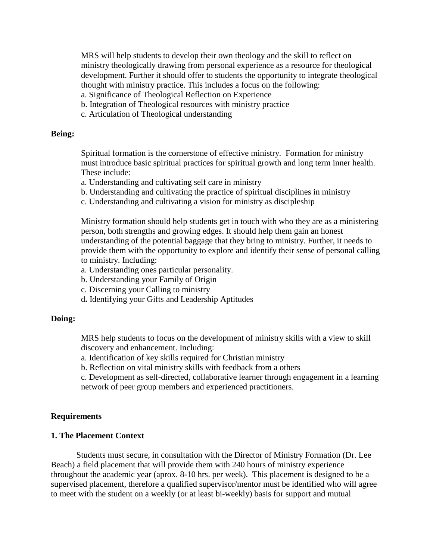MRS will help students to develop their own theology and the skill to reflect on ministry theologically drawing from personal experience as a resource for theological development. Further it should offer to students the opportunity to integrate theological thought with ministry practice. This includes a focus on the following:

- a. Significance of Theological Reflection on Experience
- b. Integration of Theological resources with ministry practice
- c. Articulation of Theological understanding

#### **Being:**

Spiritual formation is the cornerstone of effective ministry. Formation for ministry must introduce basic spiritual practices for spiritual growth and long term inner health. These include:

- a. Understanding and cultivating self care in ministry
- b. Understanding and cultivating the practice of spiritual disciplines in ministry
- c. Understanding and cultivating a vision for ministry as discipleship

Ministry formation should help students get in touch with who they are as a ministering person, both strengths and growing edges. It should help them gain an honest understanding of the potential baggage that they bring to ministry. Further, it needs to provide them with the opportunity to explore and identify their sense of personal calling to ministry. Including:

- a. Understanding ones particular personality.
- b. Understanding your Family of Origin
- c. Discerning your Calling to ministry
- d**.** Identifying your Gifts and Leadership Aptitudes

#### **Doing:**

MRS help students to focus on the development of ministry skills with a view to skill discovery and enhancement. Including:

a. Identification of key skills required for Christian ministry

b. Reflection on vital ministry skills with feedback from a others

c. Development as self-directed, collaborative learner through engagement in a learning network of peer group members and experienced practitioners.

#### **Requirements**

### **1. The Placement Context**

Students must secure, in consultation with the Director of Ministry Formation (Dr. Lee Beach) a field placement that will provide them with 240 hours of ministry experience throughout the academic year (aprox. 8-10 hrs. per week). This placement is designed to be a supervised placement, therefore a qualified supervisor/mentor must be identified who will agree to meet with the student on a weekly (or at least bi-weekly) basis for support and mutual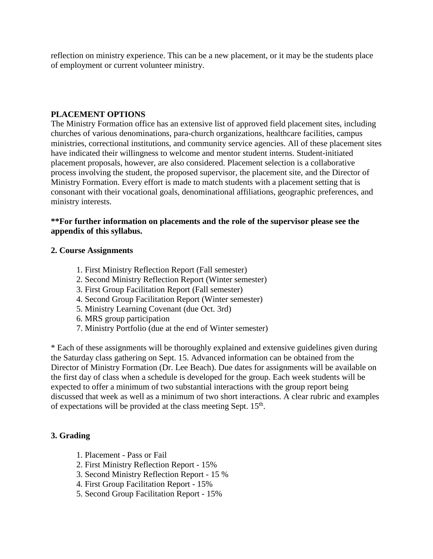reflection on ministry experience. This can be a new placement, or it may be the students place of employment or current volunteer ministry.

### **PLACEMENT OPTIONS**

The Ministry Formation office has an extensive list of approved field placement sites, including churches of various denominations, para-church organizations, healthcare facilities, campus ministries, correctional institutions, and community service agencies. All of these placement sites have indicated their willingness to welcome and mentor student interns. Student-initiated placement proposals, however, are also considered. Placement selection is a collaborative process involving the student, the proposed supervisor, the placement site, and the Director of Ministry Formation. Every effort is made to match students with a placement setting that is consonant with their vocational goals, denominational affiliations, geographic preferences, and ministry interests.

### **\*\*For further information on placements and the role of the supervisor please see the appendix of this syllabus.**

#### **2. Course Assignments**

- 1. First Ministry Reflection Report (Fall semester)
- 2. Second Ministry Reflection Report (Winter semester)
- 3. First Group Facilitation Report (Fall semester)
- 4. Second Group Facilitation Report (Winter semester)
- 5. Ministry Learning Covenant (due Oct. 3rd)
- 6. MRS group participation
- 7. Ministry Portfolio (due at the end of Winter semester)

\* Each of these assignments will be thoroughly explained and extensive guidelines given during the Saturday class gathering on Sept. 15. Advanced information can be obtained from the Director of Ministry Formation (Dr. Lee Beach). Due dates for assignments will be available on the first day of class when a schedule is developed for the group. Each week students will be expected to offer a minimum of two substantial interactions with the group report being discussed that week as well as a minimum of two short interactions. A clear rubric and examples of expectations will be provided at the class meeting Sept.  $15<sup>th</sup>$ .

## **3. Grading**

- 1. Placement Pass or Fail
- 2. First Ministry Reflection Report 15%
- 3. Second Ministry Reflection Report 15 %
- 4. First Group Facilitation Report 15%
- 5. Second Group Facilitation Report 15%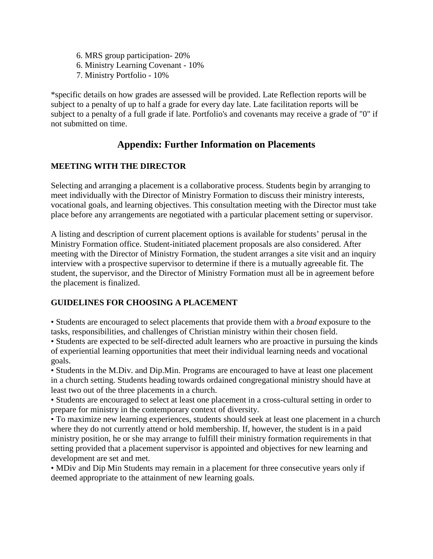- 6. MRS group participation- 20%
- 6. Ministry Learning Covenant 10%
- 7. Ministry Portfolio 10%

\*specific details on how grades are assessed will be provided. Late Reflection reports will be subject to a penalty of up to half a grade for every day late. Late facilitation reports will be subject to a penalty of a full grade if late. Portfolio's and covenants may receive a grade of "0" if not submitted on time.

# **Appendix: Further Information on Placements**

## **MEETING WITH THE DIRECTOR**

Selecting and arranging a placement is a collaborative process. Students begin by arranging to meet individually with the Director of Ministry Formation to discuss their ministry interests, vocational goals, and learning objectives. This consultation meeting with the Director must take place before any arrangements are negotiated with a particular placement setting or supervisor.

A listing and description of current placement options is available for students' perusal in the Ministry Formation office. Student-initiated placement proposals are also considered. After meeting with the Director of Ministry Formation, the student arranges a site visit and an inquiry interview with a prospective supervisor to determine if there is a mutually agreeable fit. The student, the supervisor, and the Director of Ministry Formation must all be in agreement before the placement is finalized.

## **GUIDELINES FOR CHOOSING A PLACEMENT**

• Students are encouraged to select placements that provide them with a *broad* exposure to the tasks, responsibilities, and challenges of Christian ministry within their chosen field.

• Students are expected to be self-directed adult learners who are proactive in pursuing the kinds of experiential learning opportunities that meet their individual learning needs and vocational goals.

• Students in the M.Div. and Dip.Min. Programs are encouraged to have at least one placement in a church setting. Students heading towards ordained congregational ministry should have at least two out of the three placements in a church.

• Students are encouraged to select at least one placement in a cross-cultural setting in order to prepare for ministry in the contemporary context of diversity.

• To maximize new learning experiences, students should seek at least one placement in a church where they do not currently attend or hold membership. If, however, the student is in a paid ministry position, he or she may arrange to fulfill their ministry formation requirements in that setting provided that a placement supervisor is appointed and objectives for new learning and development are set and met.

• MDiv and Dip Min Students may remain in a placement for three consecutive years only if deemed appropriate to the attainment of new learning goals.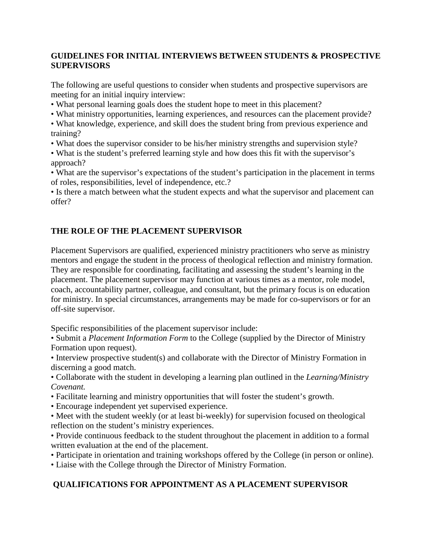## **GUIDELINES FOR INITIAL INTERVIEWS BETWEEN STUDENTS & PROSPECTIVE SUPERVISORS**

The following are useful questions to consider when students and prospective supervisors are meeting for an initial inquiry interview:

- What personal learning goals does the student hope to meet in this placement?
- What ministry opportunities, learning experiences, and resources can the placement provide?

• What knowledge, experience, and skill does the student bring from previous experience and training?

• What does the supervisor consider to be his/her ministry strengths and supervision style?

• What is the student's preferred learning style and how does this fit with the supervisor's approach?

• What are the supervisor's expectations of the student's participation in the placement in terms of roles, responsibilities, level of independence, etc.?

• Is there a match between what the student expects and what the supervisor and placement can offer?

## **THE ROLE OF THE PLACEMENT SUPERVISOR**

Placement Supervisors are qualified, experienced ministry practitioners who serve as ministry mentors and engage the student in the process of theological reflection and ministry formation. They are responsible for coordinating, facilitating and assessing the student's learning in the placement. The placement supervisor may function at various times as a mentor, role model, coach, accountability partner, colleague, and consultant, but the primary focus is on education for ministry. In special circumstances, arrangements may be made for co-supervisors or for an off-site supervisor.

Specific responsibilities of the placement supervisor include:

• Submit a *Placement Information Form* to the College (supplied by the Director of Ministry Formation upon request).

• Interview prospective student(s) and collaborate with the Director of Ministry Formation in discerning a good match.

• Collaborate with the student in developing a learning plan outlined in the *Learning/Ministry Covenant.*

- Facilitate learning and ministry opportunities that will foster the student's growth.
- Encourage independent yet supervised experience.

• Meet with the student weekly (or at least bi-weekly) for supervision focused on theological reflection on the student's ministry experiences.

• Provide continuous feedback to the student throughout the placement in addition to a formal written evaluation at the end of the placement.

• Participate in orientation and training workshops offered by the College (in person or online).

• Liaise with the College through the Director of Ministry Formation.

## **QUALIFICATIONS FOR APPOINTMENT AS A PLACEMENT SUPERVISOR**